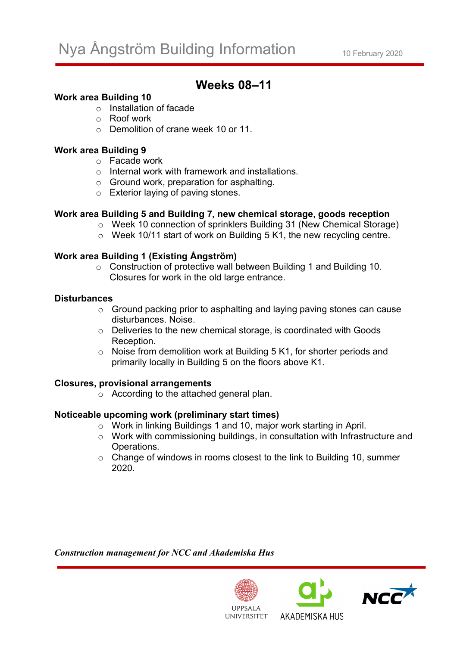# **Weeks 08–11**

## **Work area Building 10**

- o Installation of facade
- o Roof work
- o Demolition of crane week 10 or 11.

# **Work area Building 9**

- o Facade work
- o Internal work with framework and installations.
- o Ground work, preparation for asphalting.
- o Exterior laying of paving stones.

### **Work area Building 5 and Building 7, new chemical storage, goods reception**

- o Week 10 connection of sprinklers Building 31 (New Chemical Storage)
- o Week 10/11 start of work on Building 5 K1, the new recycling centre.

# **Work area Building 1 (Existing Ångström)**

o Construction of protective wall between Building 1 and Building 10. Closures for work in the old large entrance.

#### **Disturbances**

- o Ground packing prior to asphalting and laying paving stones can cause disturbances. Noise.
- o Deliveries to the new chemical storage, is coordinated with Goods Reception.
- o Noise from demolition work at Building 5 K1, for shorter periods and primarily locally in Building 5 on the floors above K1.

### **Closures, provisional arrangements**

o According to the attached general plan.

### **Noticeable upcoming work (preliminary start times)**

- o Work in linking Buildings 1 and 10, major work starting in April.
- o Work with commissioning buildings, in consultation with Infrastructure and Operations.
- o Change of windows in rooms closest to the link to Building 10, summer 2020.

*Construction management for NCC and Akademiska Hus*